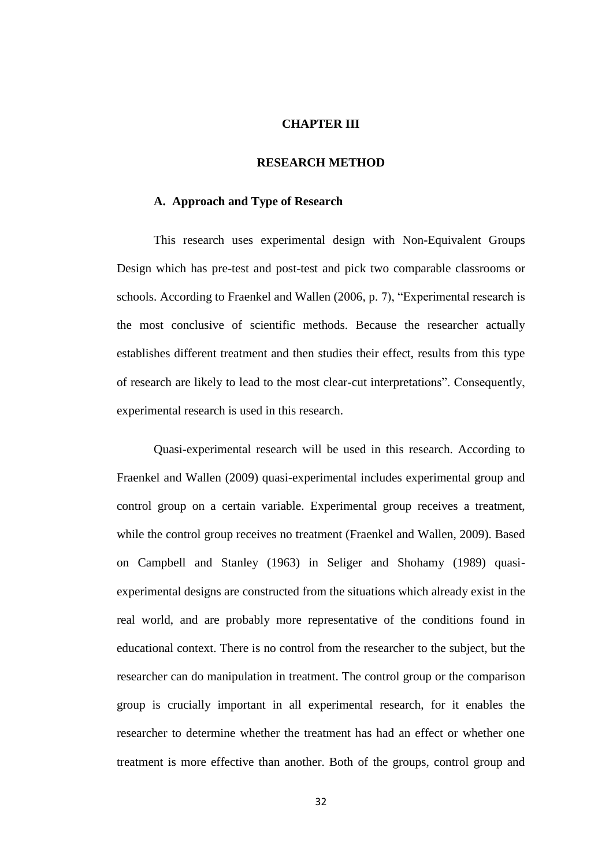#### **CHAPTER III**

#### **RESEARCH METHOD**

#### **A. Approach and Type of Research**

This research uses experimental design with Non-Equivalent Groups Design which has pre-test and post-test and pick two comparable classrooms or schools. According to Fraenkel and Wallen (2006, p. 7), "Experimental research is the most conclusive of scientific methods. Because the researcher actually establishes different treatment and then studies their effect, results from this type of research are likely to lead to the most clear-cut interpretations". Consequently, experimental research is used in this research.

Quasi-experimental research will be used in this research. According to Fraenkel and Wallen (2009) quasi-experimental includes experimental group and control group on a certain variable. Experimental group receives a treatment, while the control group receives no treatment (Fraenkel and Wallen, 2009). Based on Campbell and Stanley (1963) in Seliger and Shohamy (1989) quasiexperimental designs are constructed from the situations which already exist in the real world, and are probably more representative of the conditions found in educational context. There is no control from the researcher to the subject, but the researcher can do manipulation in treatment. The control group or the comparison group is crucially important in all experimental research, for it enables the researcher to determine whether the treatment has had an effect or whether one treatment is more effective than another. Both of the groups, control group and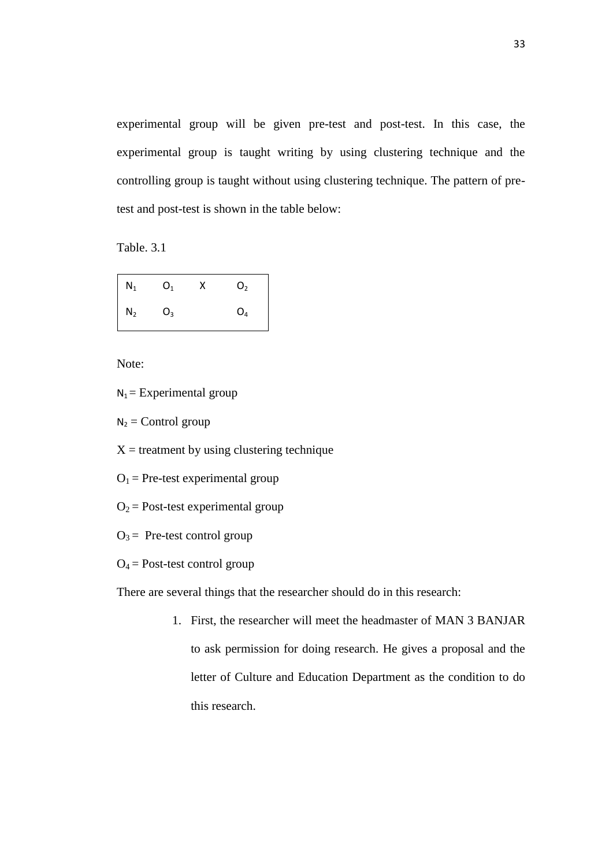experimental group will be given pre-test and post-test. In this case, the experimental group is taught writing by using clustering technique and the controlling group is taught without using clustering technique. The pattern of pretest and post-test is shown in the table below:

Table. 3.1

| $\overline{\phantom{a}}$<br>$N_1$          | O <sub>1</sub> | O <sub>2</sub> |
|--------------------------------------------|----------------|----------------|
| $\overline{\phantom{a}}$<br>$\mathsf{N}_2$ | $O_3$          | O <sub>4</sub> |

Note:

 $N_1$  = Experimental group

 $N_2$  = Control group

 $X =$  treatment by using clustering technique

 $O_1$  = Pre-test experimental group

 $O_2$  = Post-test experimental group

 $O_3$  = Pre-test control group

 $O_4$  = Post-test control group

There are several things that the researcher should do in this research:

1. First, the researcher will meet the headmaster of MAN 3 BANJAR to ask permission for doing research. He gives a proposal and the letter of Culture and Education Department as the condition to do this research.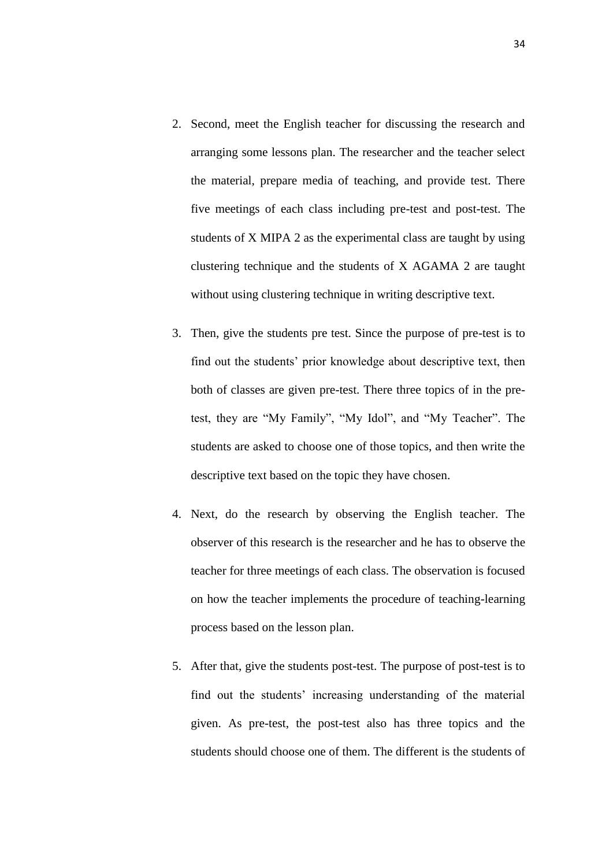- 2. Second, meet the English teacher for discussing the research and arranging some lessons plan. The researcher and the teacher select the material, prepare media of teaching, and provide test. There five meetings of each class including pre-test and post-test. The students of X MIPA 2 as the experimental class are taught by using clustering technique and the students of X AGAMA 2 are taught without using clustering technique in writing descriptive text.
- 3. Then, give the students pre test. Since the purpose of pre-test is to find out the students' prior knowledge about descriptive text, then both of classes are given pre-test. There three topics of in the pretest, they are "My Family", "My Idol", and "My Teacher". The students are asked to choose one of those topics, and then write the descriptive text based on the topic they have chosen.
- 4. Next, do the research by observing the English teacher. The observer of this research is the researcher and he has to observe the teacher for three meetings of each class. The observation is focused on how the teacher implements the procedure of teaching-learning process based on the lesson plan.
- 5. After that, give the students post-test. The purpose of post-test is to find out the students' increasing understanding of the material given. As pre-test, the post-test also has three topics and the students should choose one of them. The different is the students of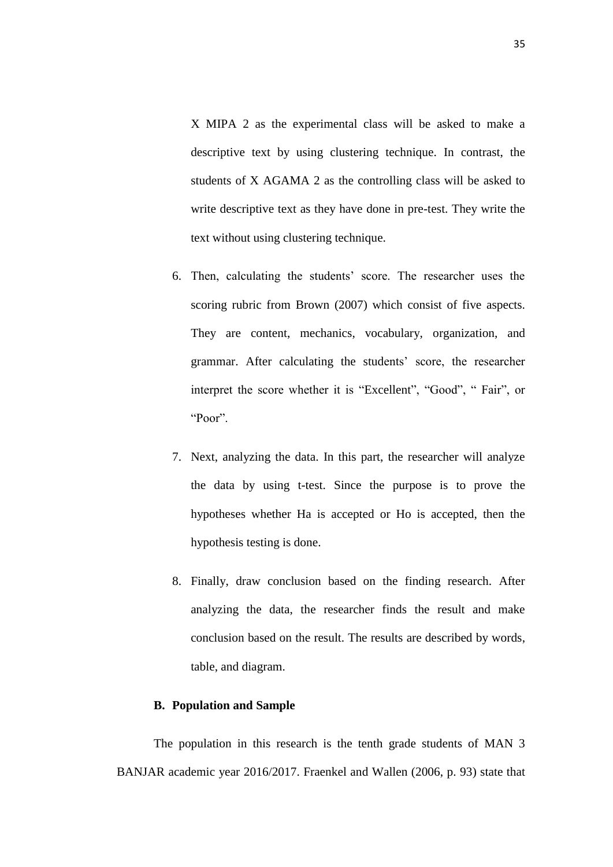X MIPA 2 as the experimental class will be asked to make a descriptive text by using clustering technique. In contrast, the students of X AGAMA 2 as the controlling class will be asked to write descriptive text as they have done in pre-test. They write the text without using clustering technique.

- 6. Then, calculating the students' score. The researcher uses the scoring rubric from Brown (2007) which consist of five aspects. They are content, mechanics, vocabulary, organization, and grammar. After calculating the students' score, the researcher interpret the score whether it is "Excellent", "Good", "Fair", or "Poor".
- 7. Next, analyzing the data. In this part, the researcher will analyze the data by using t-test. Since the purpose is to prove the hypotheses whether Ha is accepted or Ho is accepted, then the hypothesis testing is done.
- 8. Finally, draw conclusion based on the finding research. After analyzing the data, the researcher finds the result and make conclusion based on the result. The results are described by words, table, and diagram.

## **B. Population and Sample**

The population in this research is the tenth grade students of MAN 3 BANJAR academic year 2016/2017. Fraenkel and Wallen (2006, p. 93) state that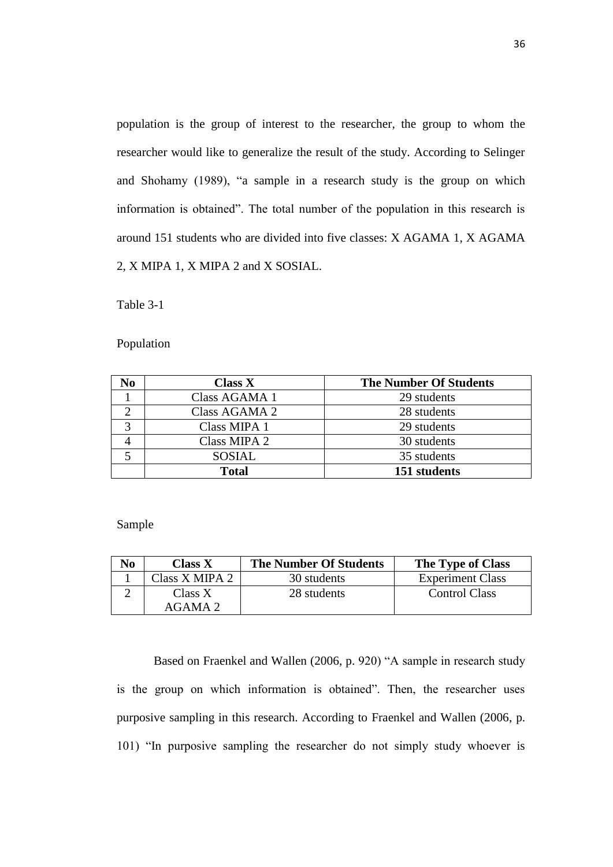population is the group of interest to the researcher, the group to whom the researcher would like to generalize the result of the study. According to Selinger and Shohamy (1989), "a sample in a research study is the group on which information is obtained". The total number of the population in this research is around 151 students who are divided into five classes: X AGAMA 1, X AGAMA 2, X MIPA 1, X MIPA 2 and X SOSIAL.

Table 3-1

Population

| No          | <b>Class X</b> | <b>The Number Of Students</b> |
|-------------|----------------|-------------------------------|
|             | Class AGAMA 1  | 29 students                   |
|             | Class AGAMA 2  | 28 students                   |
| $\mathbf 2$ | Class MIPA 1   | 29 students                   |
|             | Class MIPA 2   | 30 students                   |
|             | <b>SOSIAL</b>  | 35 students                   |
|             | <b>Total</b>   | 151 students                  |

Sample

| N <sub>0</sub> | Class X        | <b>The Number Of Students</b> | The Type of Class       |
|----------------|----------------|-------------------------------|-------------------------|
|                | Class X MIPA 2 | 30 students                   | <b>Experiment Class</b> |
|                | Class X        | 28 students                   | <b>Control Class</b>    |
|                | $AGAMA$ 2      |                               |                         |

Based on Fraenkel and Wallen (2006, p. 920) "A sample in research study is the group on which information is obtained". Then, the researcher uses purposive sampling in this research. According to Fraenkel and Wallen (2006, p. 101) "In purposive sampling the researcher do not simply study whoever is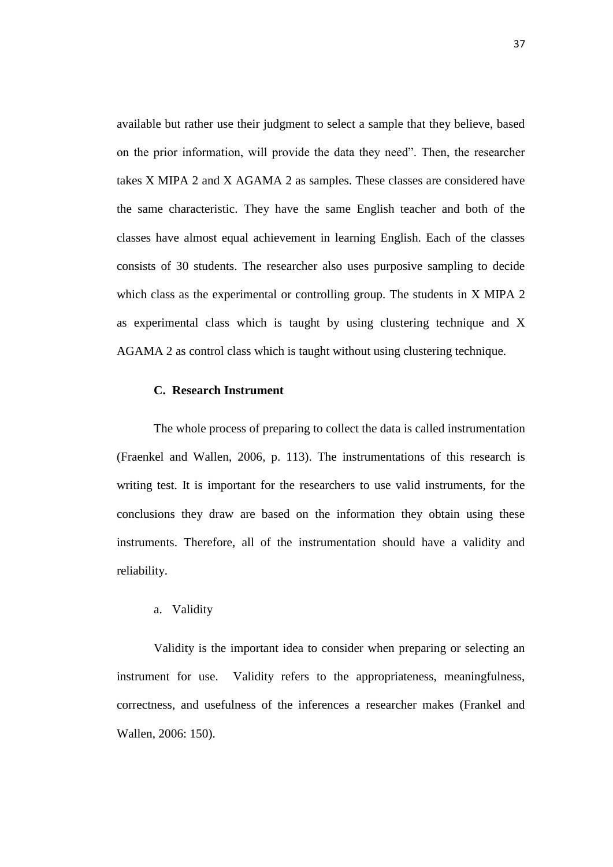available but rather use their judgment to select a sample that they believe, based on the prior information, will provide the data they need". Then, the researcher takes X MIPA 2 and X AGAMA 2 as samples. These classes are considered have the same characteristic. They have the same English teacher and both of the classes have almost equal achievement in learning English. Each of the classes consists of 30 students. The researcher also uses purposive sampling to decide which class as the experimental or controlling group. The students in X MIPA 2 as experimental class which is taught by using clustering technique and X AGAMA 2 as control class which is taught without using clustering technique.

## **C. Research Instrument**

The whole process of preparing to collect the data is called instrumentation (Fraenkel and Wallen, 2006, p. 113). The instrumentations of this research is writing test. It is important for the researchers to use valid instruments, for the conclusions they draw are based on the information they obtain using these instruments. Therefore, all of the instrumentation should have a validity and reliability.

## a. Validity

Validity is the important idea to consider when preparing or selecting an instrument for use. Validity refers to the appropriateness, meaningfulness, correctness, and usefulness of the inferences a researcher makes (Frankel and Wallen, 2006: 150).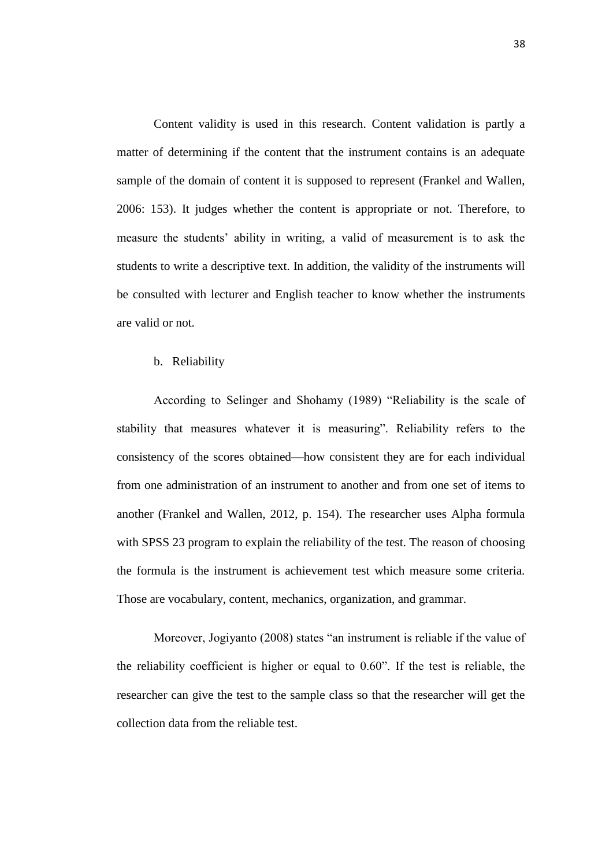Content validity is used in this research. Content validation is partly a matter of determining if the content that the instrument contains is an adequate sample of the domain of content it is supposed to represent (Frankel and Wallen, 2006: 153). It judges whether the content is appropriate or not. Therefore, to measure the students' ability in writing, a valid of measurement is to ask the students to write a descriptive text. In addition, the validity of the instruments will be consulted with lecturer and English teacher to know whether the instruments are valid or not.

## b. Reliability

According to Selinger and Shohamy (1989) "Reliability is the scale of stability that measures whatever it is measuring". Reliability refers to the consistency of the scores obtained—how consistent they are for each individual from one administration of an instrument to another and from one set of items to another (Frankel and Wallen, 2012, p. 154). The researcher uses Alpha formula with SPSS 23 program to explain the reliability of the test. The reason of choosing the formula is the instrument is achievement test which measure some criteria. Those are vocabulary, content, mechanics, organization, and grammar.

Moreover, Jogiyanto (2008) states "an instrument is reliable if the value of the reliability coefficient is higher or equal to  $0.60$ ". If the test is reliable, the researcher can give the test to the sample class so that the researcher will get the collection data from the reliable test.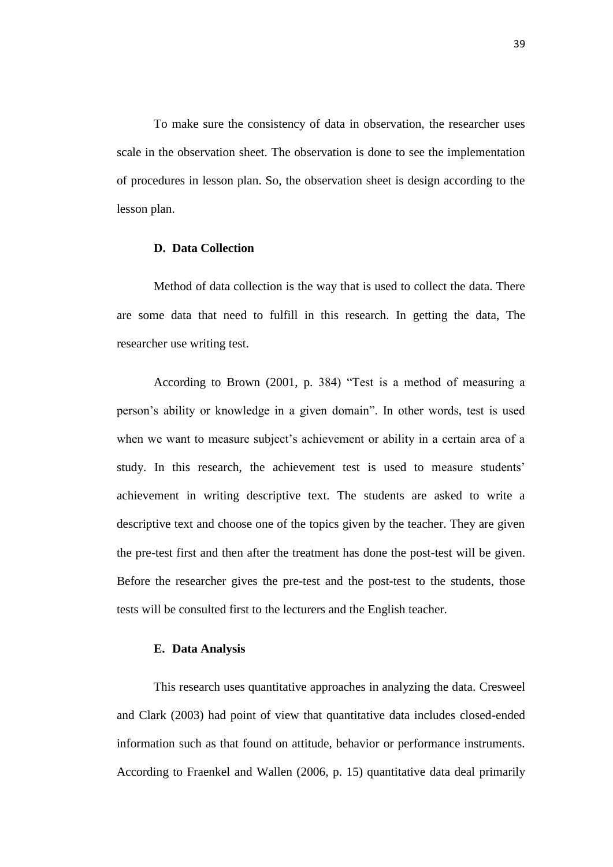To make sure the consistency of data in observation, the researcher uses scale in the observation sheet. The observation is done to see the implementation of procedures in lesson plan. So, the observation sheet is design according to the lesson plan.

#### **D. Data Collection**

Method of data collection is the way that is used to collect the data. There are some data that need to fulfill in this research. In getting the data, The researcher use writing test.

According to Brown (2001, p. 384) "Test is a method of measuring a person's ability or knowledge in a given domain". In other words, test is used when we want to measure subject's achievement or ability in a certain area of a study. In this research, the achievement test is used to measure students' achievement in writing descriptive text. The students are asked to write a descriptive text and choose one of the topics given by the teacher. They are given the pre-test first and then after the treatment has done the post-test will be given. Before the researcher gives the pre-test and the post-test to the students, those tests will be consulted first to the lecturers and the English teacher.

## **E. Data Analysis**

This research uses quantitative approaches in analyzing the data. Cresweel and Clark (2003) had point of view that quantitative data includes closed-ended information such as that found on attitude, behavior or performance instruments. According to Fraenkel and Wallen (2006, p. 15) quantitative data deal primarily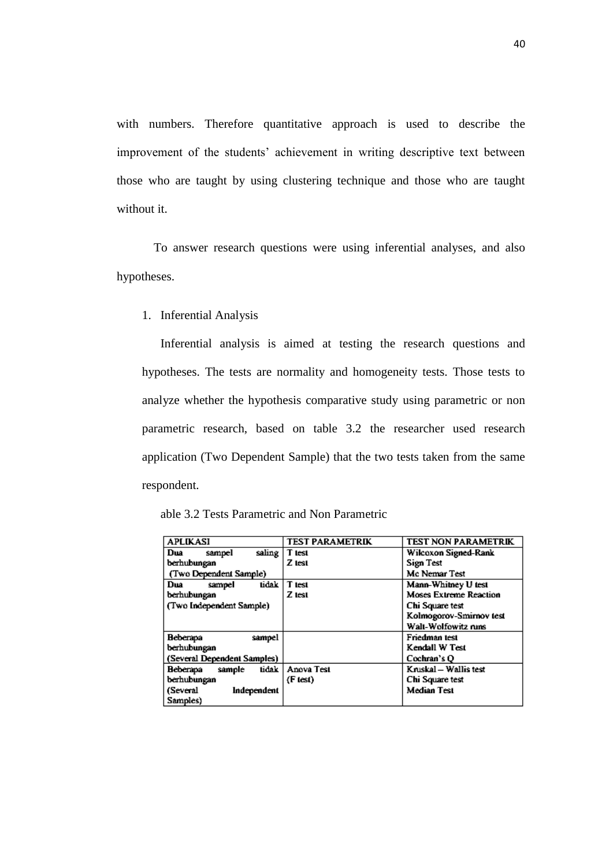with numbers. Therefore quantitative approach is used to describe the improvement of the students' achievement in writing descriptive text between those who are taught by using clustering technique and those who are taught without it.

To answer research questions were using inferential analyses, and also hypotheses.

1. Inferential Analysis

Inferential analysis is aimed at testing the research questions and hypotheses. The tests are normality and homogeneity tests. Those tests to analyze whether the hypothesis comparative study using parametric or non parametric research, based on table 3.2 the researcher used research application (Two Dependent Sample) that the two tests taken from the same respondent.

| able 3.2 Tests Parametric and Non Parametric |  |  |
|----------------------------------------------|--|--|
|----------------------------------------------|--|--|

| <b>APLIKASI</b>             | <b>TEST PARAMETRIK</b> | <b>TEST NON PARAMETRIK</b>    |
|-----------------------------|------------------------|-------------------------------|
| saling  <br>Dua<br>sampel   | T test                 | Wilcoxon Signed-Rank          |
| berhubungan                 | Z test                 | Sign Test                     |
| (Two Dependent Sample)      |                        | Mc Nemar Test                 |
| tidak<br>Dua<br>sampel      | T test                 | Mann-Whitney U test           |
| berhubungan                 | Z test                 | <b>Moses Extreme Reaction</b> |
| (Two Independent Sample)    |                        | Chi Square test               |
|                             |                        | Kolmogorov-Smirnov test       |
|                             |                        | Walt-Wolfowitz runs           |
| Beberapa<br>sampel          |                        | Friedman test                 |
| berhubungan                 |                        | Kendall W Test                |
| (Several Dependent Samples) |                        | Cochran's O                   |
| tidak<br>Beberapa<br>sample | Anova Test             | Kruskal - Wallis test         |
| berhubungan                 | (F test)               | Chi Square test               |
| (Several<br>Independent     |                        | <b>Median Test</b>            |
| Samples)                    |                        |                               |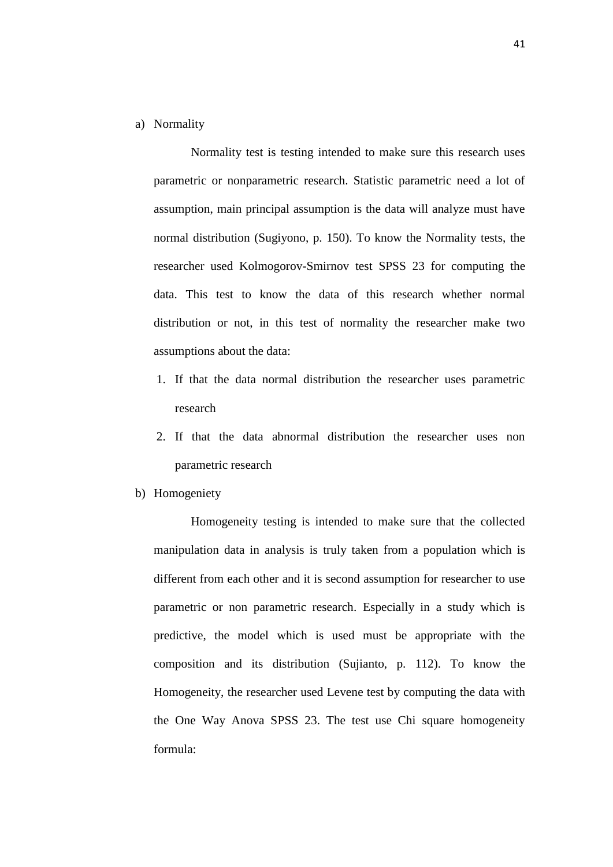a) Normality

Normality test is testing intended to make sure this research uses parametric or nonparametric research. Statistic parametric need a lot of assumption, main principal assumption is the data will analyze must have normal distribution (Sugiyono, p. 150). To know the Normality tests, the researcher used Kolmogorov-Smirnov test SPSS 23 for computing the data. This test to know the data of this research whether normal distribution or not, in this test of normality the researcher make two assumptions about the data:

- 1. If that the data normal distribution the researcher uses parametric research
- 2. If that the data abnormal distribution the researcher uses non parametric research
- b) Homogeniety

Homogeneity testing is intended to make sure that the collected manipulation data in analysis is truly taken from a population which is different from each other and it is second assumption for researcher to use parametric or non parametric research. Especially in a study which is predictive, the model which is used must be appropriate with the composition and its distribution (Sujianto, p. 112). To know the Homogeneity, the researcher used Levene test by computing the data with the One Way Anova SPSS 23. The test use Chi square homogeneity formula: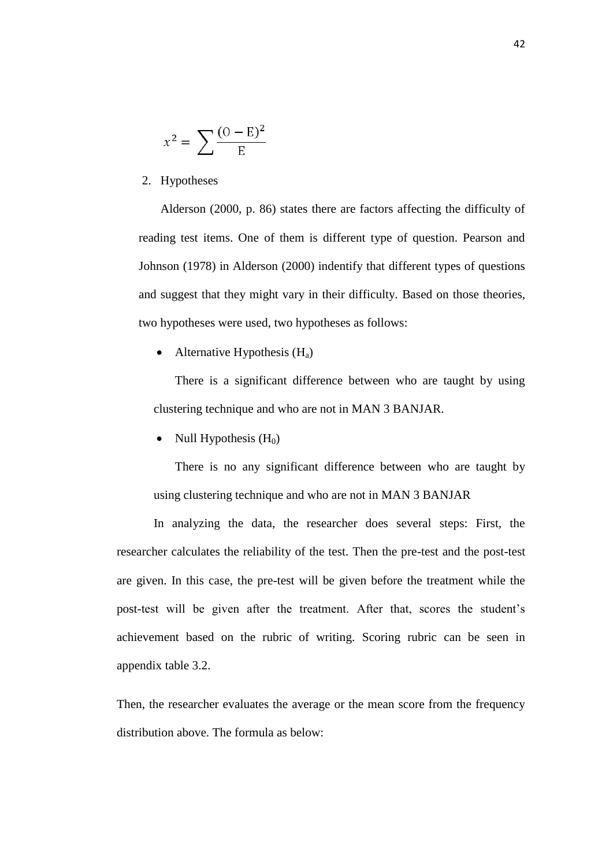$$
x^2 = \sum \frac{(0 - E)^2}{E}
$$

2. Hypotheses

Alderson (2000, p. 86) states there are factors affecting the difficulty of reading test items. One of them is different type of question. Pearson and Johnson (1978) in Alderson (2000) indentify that different types of questions and suggest that they might vary in their difficulty. Based on those theories, two hypotheses were used, two hypotheses as follows:

• Alternative Hypothesis  $(H_a)$ 

There is a significant difference between who are taught by using clustering technique and who are not in MAN 3 BANJAR.

• Null Hypothesis  $(H_0)$ 

There is no any significant difference between who are taught by using clustering technique and who are not in MAN 3 BANJAR

In analyzing the data, the researcher does several steps: First, the researcher calculates the reliability of the test. Then the pre-test and the post-test are given. In this case, the pre-test will be given before the treatment while the post-test will be given after the treatment. After that, scores the student's achievement based on the rubric of writing. Scoring rubric can be seen in appendix table 3.2.

Then, the researcher evaluates the average or the mean score from the frequency distribution above. The formula as below: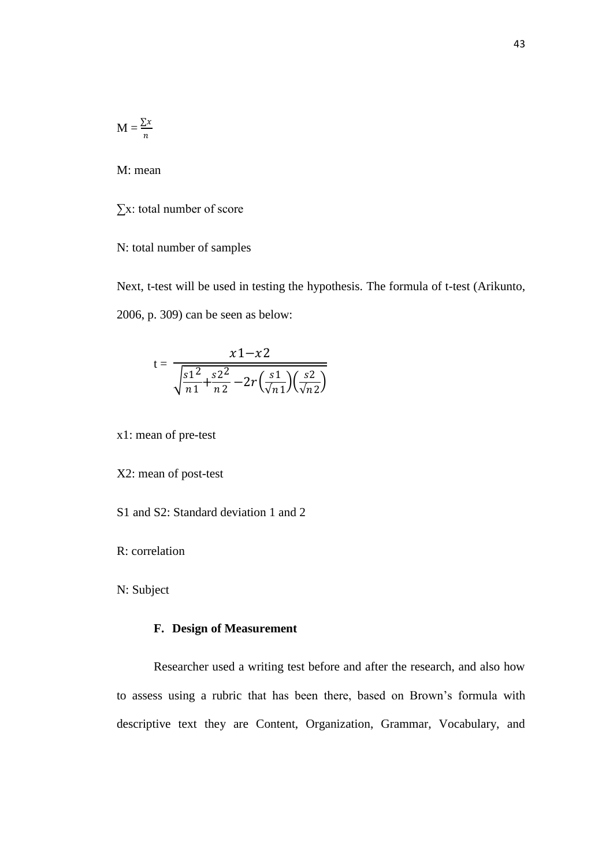$$
M = \frac{\sum x}{n}
$$

M: mean

∑x: total number of score

N: total number of samples

Next, t-test will be used in testing the hypothesis. The formula of t-test (Arikunto, 2006, p. 309) can be seen as below:

$$
t = \frac{x1 - x2}{\sqrt{\frac{s1^2}{n1} + \frac{s2^2}{n2} - 2r(\frac{s1}{\sqrt{n1}})(\frac{s2}{\sqrt{n2}})}}
$$

x1: mean of pre-test

X2: mean of post-test

S1 and S2: Standard deviation 1 and 2

R: correlation

N: Subject

# **F. Design of Measurement**

Researcher used a writing test before and after the research, and also how to assess using a rubric that has been there, based on Brown's formula with descriptive text they are Content, Organization, Grammar, Vocabulary, and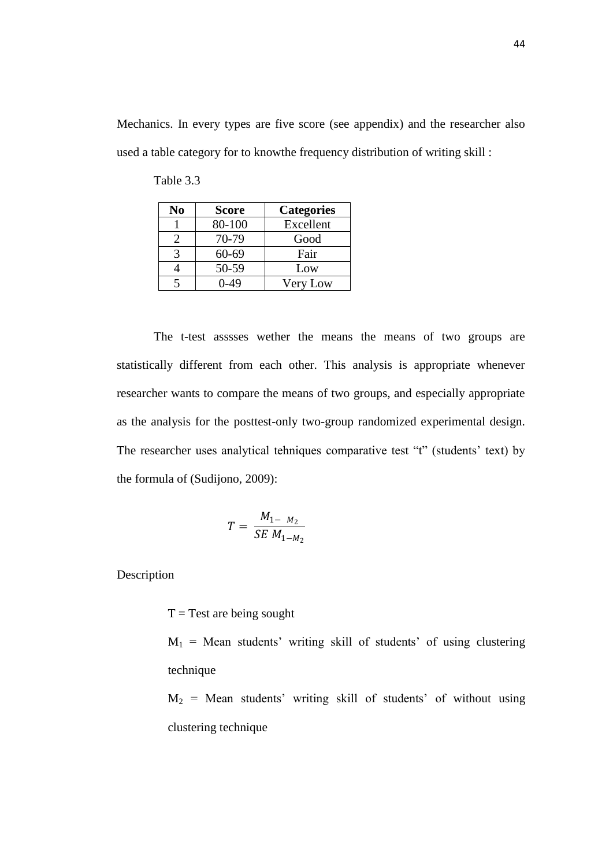Mechanics. In every types are five score (see appendix) and the researcher also used a table category for to knowthe frequency distribution of writing skill :

| No | <b>Score</b> | <b>Categories</b> |
|----|--------------|-------------------|
|    | 80-100       | Excellent         |
|    | 70-79        | Good              |
|    | 60-69        | Fair              |
|    | 50-59        | Low               |
|    | 0-49         | Very Low          |

Table 3.3

The t-test asssses wether the means the means of two groups are statistically different from each other. This analysis is appropriate whenever researcher wants to compare the means of two groups, and especially appropriate as the analysis for the posttest-only two-group randomized experimental design. The researcher uses analytical tehniques comparative test "t" (students' text) by the formula of (Sudijono, 2009):

$$
T = \frac{M_{1- M_2}}{SE M_{1- M_2}}
$$

Description

 $T = Test$  are being sought

 $M_1$  = Mean students' writing skill of students' of using clustering technique

 $M_2$  = Mean students' writing skill of students' of without using clustering technique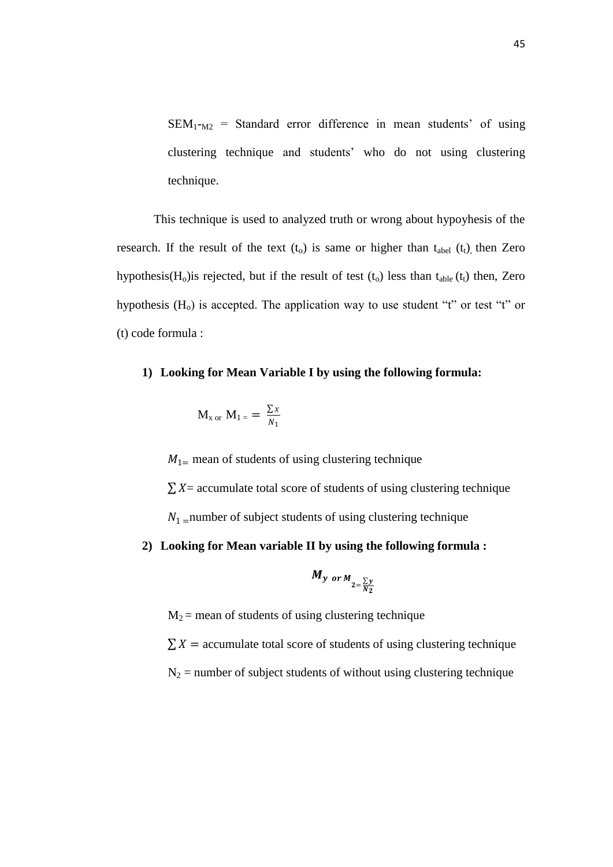$SEM_{1-M2}$  = Standard error difference in mean students' of using clustering technique and students' who do not using clustering technique.

This technique is used to analyzed truth or wrong about hypoyhesis of the research. If the result of the text  $(t_0)$  is same or higher than  $t_{abel}$  ( $t_1$ ) then Zero hypothesis( $H_0$ ) is rejected, but if the result of test ( $t_0$ ) less than  $t_{\text{able}}(t_1)$  then, Zero hypothesis  $(H<sub>o</sub>)$  is accepted. The application way to use student "t" or test "t" or (t) code formula :

## **1) Looking for Mean Variable I by using the following formula:**

$$
M_{x \text{ or } } M_{1} = \frac{\sum x}{N_1}
$$

 $M_{1}$  mean of students of using clustering technique

 $\sum X$  = accumulate total score of students of using clustering technique

 $N_1$  =number of subject students of using clustering technique

# **2) Looking for Mean variable II by using the following formula :**

$$
M_{y \text{ or } M_{2=\frac{\sum y}{N_2}}}
$$

 $M_2$  = mean of students of using clustering technique

 $\sum X$  = accumulate total score of students of using clustering technique

 $N_2$  = number of subject students of without using clustering technique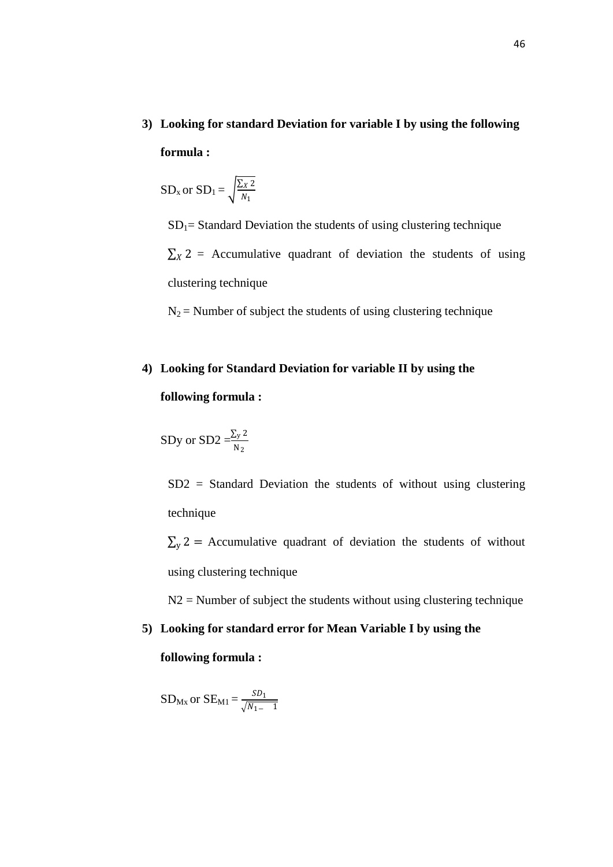**3) Looking for standard Deviation for variable I by using the following formula :**

$$
SD_x \text{ or } SD_1 = \sqrt{\frac{\sum x \, 2}{N_1}}
$$

 $SD<sub>1</sub>=$  Standard Deviation the students of using clustering technique

 $\sum_{x}$  2 = Accumulative quadrant of deviation the students of using clustering technique

 $N_2$  = Number of subject the students of using clustering technique

# **4) Looking for Standard Deviation for variable II by using the**

## **following formula :**

$$
SDy \text{ or } SD2 = \frac{\sum_{y} 2}{N_2}
$$

SD2 = Standard Deviation the students of without using clustering technique

 $\Sigma$ <sub>y</sub> 2 = Accumulative quadrant of deviation the students of without using clustering technique

 $N2$  = Number of subject the students without using clustering technique

# **5) Looking for standard error for Mean Variable I by using the**

## **following formula :**

$$
SD_{\text{Mx}} \text{ or } SE_{\text{M1}} = \frac{SD_1}{\sqrt{N_{1-} - 1}}
$$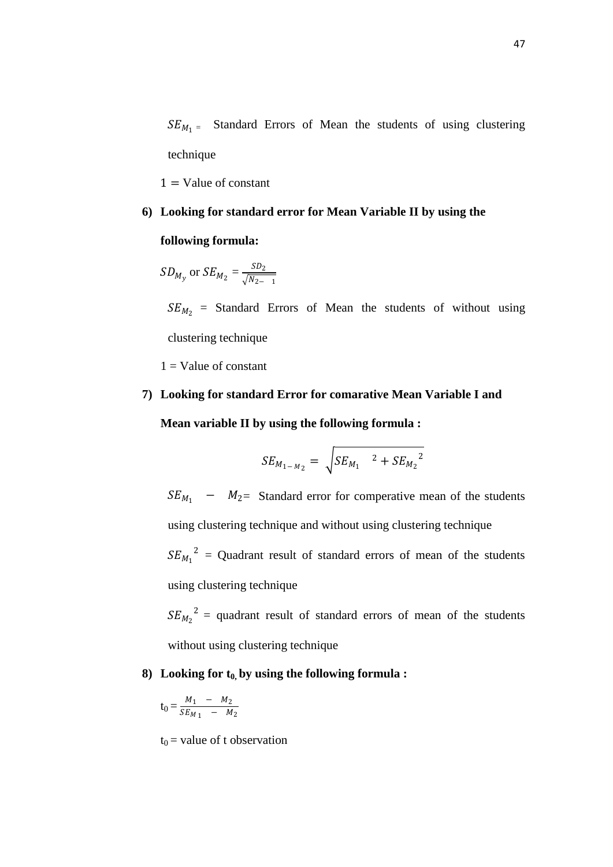$SE_{M_1}$  = Standard Errors of Mean the students of using clustering technique

 $1 =$ Value of constant

# **6) Looking for standard error for Mean Variable II by using the**

#### **following formula:**

$$
SD_{M_y}
$$
 or  $SE_{M_2} = \frac{SD_2}{\sqrt{N_{2-1}}}$ 

 $SE_{M_2}$  = Standard Errors of Mean the students of without using clustering technique

 $1 =$ Value of constant

# **7) Looking for standard Error for comarative Mean Variable I and Mean variable II by using the following formula :**

$$
SE_{M_{1-M_2}} = \sqrt{SE_{M_1}^2 + SE_{M_2}^2}
$$

 $SE_{M_1}$  −  $M_2$  = Standard error for comperative mean of the students using clustering technique and without using clustering technique  $SE_{M_1}^2$  = Quadrant result of standard errors of mean of the students using clustering technique

 $SE_{M_2}^2$  = quadrant result of standard errors of mean of the students without using clustering technique

## **8) Looking for t0, by using the following formula :**

$$
t_0 = \frac{M_1 - M_2}{SE_{M_1} - M_2}
$$

 $t_0$  = value of t observation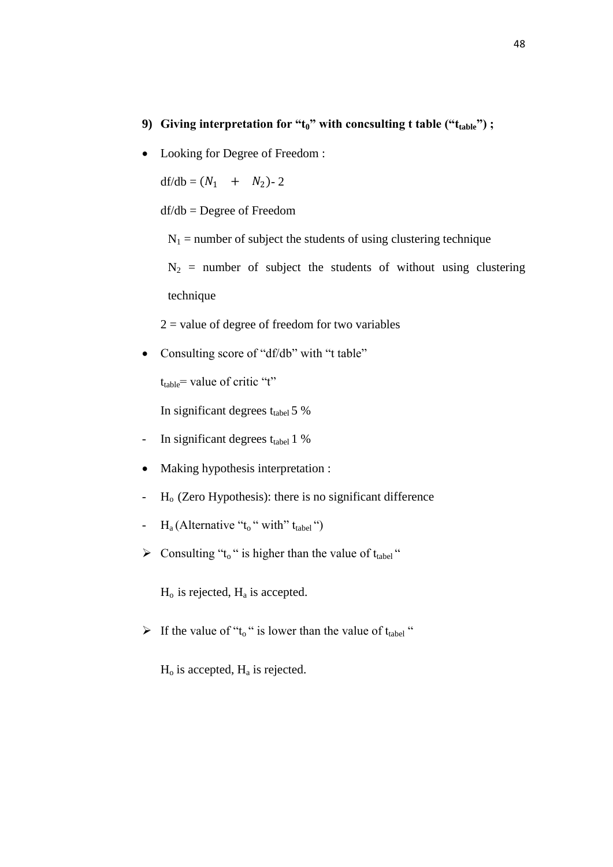# **9) Giving interpretation for "t0" with concsulting t table ("ttable") ;**

• Looking for Degree of Freedom :

df/db =  $(N_1 + N_2)$ - 2

df/db = Degree of Freedom

 $N_1$  = number of subject the students of using clustering technique

 $N_2$  = number of subject the students of without using clustering technique

 $2 =$  value of degree of freedom for two variables

• Consulting score of "df/db" with "t table"

 $t_{table}$  value of critic "t"

In significant degrees  $t_{\text{table}}$  5 %

- In significant degrees  $t_{\text{table}}$  1 %
- Making hypothesis interpretation :
- $H<sub>o</sub>$  (Zero Hypothesis): there is no significant difference
- $H_a$  (Alternative " $t_0$ " with"  $t_{table}$ ")
- $\triangleright$  Consulting "t<sub>o</sub>" is higher than the value of t<sub>tabel</sub>"

 $H<sub>o</sub>$  is rejected,  $H<sub>a</sub>$  is accepted.

If the value of " $t_0$ " is lower than the value of  $t_{table}$ "

 $H<sub>o</sub>$  is accepted,  $H<sub>a</sub>$  is rejected.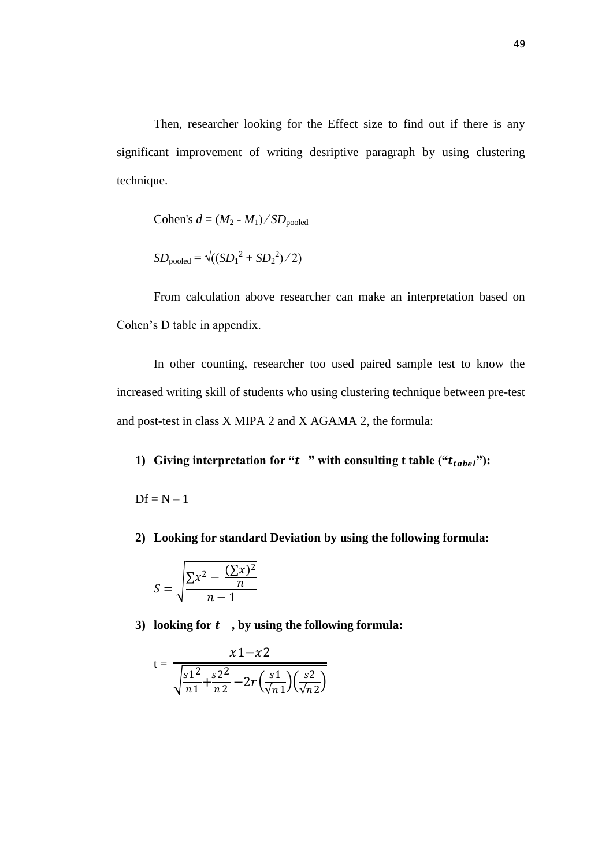Then, researcher looking for the Effect size to find out if there is any significant improvement of writing desriptive paragraph by using clustering technique.

Cohen's 
$$
d = (M_2 - M_1) / SD_{pooled}
$$

$$
SD_{pooled} = \sqrt{((SD_1^2 + SD_2^2)/2)}
$$

From calculation above researcher can make an interpretation based on Cohen's D table in appendix.

In other counting, researcher too used paired sample test to know the increased writing skill of students who using clustering technique between pre-test and post-test in class X MIPA 2 and X AGAMA 2, the formula:

# **1)** Giving interpretation for " $t$ " with consulting t table (" $t_{table}$ "):

 $Df = N - 1$ 

**2) Looking for standard Deviation by using the following formula:**

$$
S = \sqrt{\frac{\sum x^2 - \frac{(\sum x)^2}{n}}{n-1}}
$$

**3) looking for , by using the following formula:**

$$
t = \frac{x1 - x2}{\sqrt{\frac{s1^2}{n1} + \frac{s2^2}{n2} - 2r(\frac{s1}{\sqrt{n1}})(\frac{s2}{\sqrt{n2}})}}
$$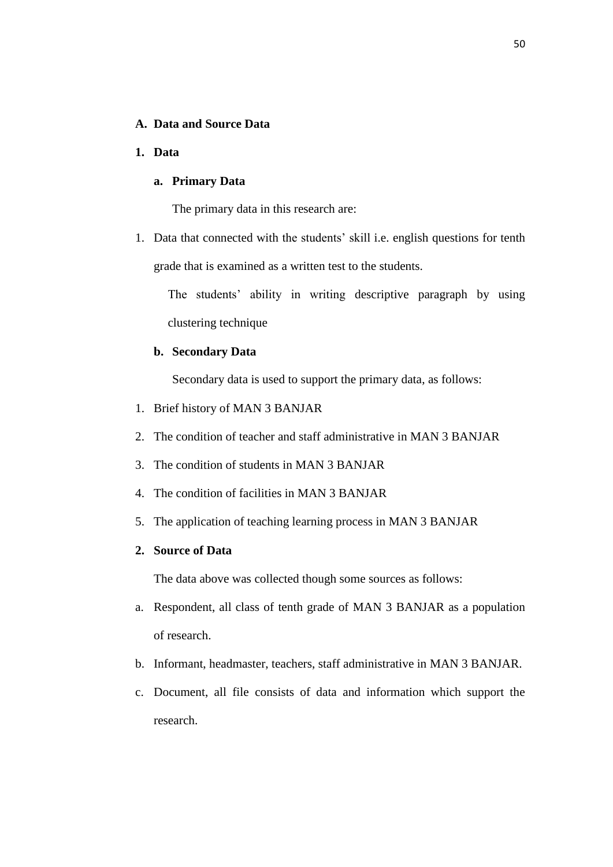# **A. Data and Source Data**

## **1. Data**

## **a. Primary Data**

The primary data in this research are:

1. Data that connected with the students' skill i.e. english questions for tenth grade that is examined as a written test to the students.

The students' ability in writing descriptive paragraph by using clustering technique

## **b. Secondary Data**

Secondary data is used to support the primary data, as follows:

- 1. Brief history of MAN 3 BANJAR
- 2. The condition of teacher and staff administrative in MAN 3 BANJAR
- 3. The condition of students in MAN 3 BANJAR
- 4. The condition of facilities in MAN 3 BANJAR
- 5. The application of teaching learning process in MAN 3 BANJAR

# **2. Source of Data**

The data above was collected though some sources as follows:

- a. Respondent, all class of tenth grade of MAN 3 BANJAR as a population of research.
- b. Informant, headmaster, teachers, staff administrative in MAN 3 BANJAR.
- c. Document, all file consists of data and information which support the research.